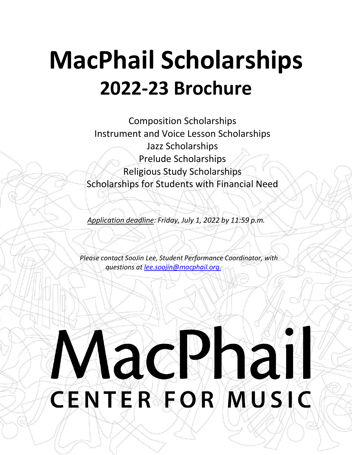# **MacPhail Scholarships 2022-23 Brochure**

Composition Scholarships Instrument and Voice Lesson Scholarships Jazz Scholarships Prelude Scholarships Religious Study Scholarships Scholarships for Students with Financial Need

*Application deadline: Friday, July 1, 2022 by 11:59 p.m.*

*Please contact SooJin Lee, Student Performance Coordinator, with questions at [lee.soojin@macphail.org.](mailto:lee.soojin@macphail.org.)*

# CENTER FOR MUSIC

 $\frac{1}{2}$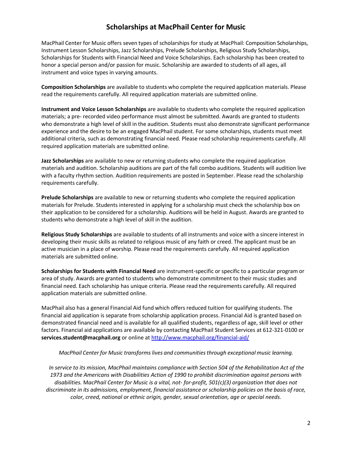#### **Scholarships at MacPhail Center for Music**

MacPhail Center for Music offers seven types of scholarships for study at MacPhail: Composition Scholarships, Instrument Lesson Scholarships, Jazz Scholarships, Prelude Scholarships, Religious Study Scholarships, Scholarships for Students with Financial Need and Voice Scholarships. Each scholarship has been created to honor a special person and/or passion for music. Scholarship are awarded to students of all ages, all instrument and voice types in varying amounts.

**Composition Scholarships** are available to students who complete the required application materials. Please read the requirements carefully. All required application materials are submitted online.

**Instrument and Voice Lesson Scholarships** are available to students who complete the required application materials; a pre- recorded video performance must almost be submitted. Awards are granted to students who demonstrate a high level of skill in the audition. Students must also demonstrate significant performance experience and the desire to be an engaged MacPhail student. For some scholarships, students must meet additional criteria, such as demonstrating financial need. Please read scholarship requirements carefully. All required application materials are submitted online.

**Jazz Scholarships** are available to new or returning students who complete the required application materials and audition. Scholarship auditions are part of the fall combo auditions. Students will audition live with a faculty rhythm section. Audition requirements are posted in September. Please read the scholarship requirements carefully.

**Prelude Scholarships** are available to new or returning students who complete the required application materials for Prelude. Students interested in applying for a scholarship must check the scholarship box on their application to be considered for a scholarship. Auditions will be held in August. Awards are granted to students who demonstrate a high level of skill in the audition.

**Religious Study Scholarships** are available to students of all instruments and voice with a sincere interest in developing their music skills as related to religious music of any faith or creed. The applicant must be an active musician in a place of worship. Please read the requirements carefully. All required application materials are submitted online.

**Scholarships for Students with Financial Need** are instrument-specific or specific to a particular program or area of study. Awards are granted to students who demonstrate commitment to their music studies and financial need. Each scholarship has unique criteria. Please read the requirements carefully. All required application materials are submitted online.

MacPhail also has a general Financial Aid fund which offers reduced tuition for qualifying students. The financial aid application is separate from scholarship application process. Financial Aid is granted based on demonstrated financial need and is available for all qualified students, regardless of age, skill level or other factors. Financial aid applications are available by contacting MacPhail Student Services at 612-321-0100 or **[services.student@macphail.org](mailto:services.student@macphail.org)** or online at<http://www.macphail.org/financial-aid/>

*MacPhail Center for Music transformslives and communitiesthrough exceptional music learning.*

*In service to its mission, MacPhail maintains compliance with Section 504 of the Rehabilitation Act of the 1973 and the Americans with Disabilities Action of 1990 to prohibit discrimination against persons with disabilities.* M*acPhail Center for Music is a vital, not- for-profit, 501(c)(3) organization that does not discriminate in its admissions, employment, financial assistance or scholarship policies on the basis of race, color, creed, national or ethnic origin, gender, sexual orientation, age or special needs.*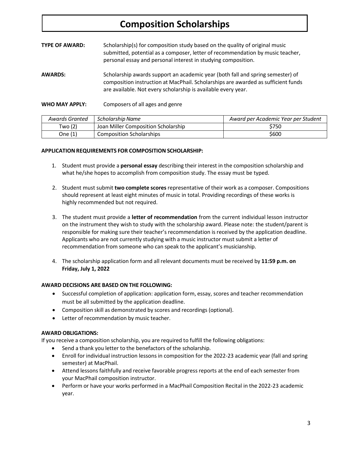# **Composition Scholarships**

| <b>TYPE OF AWARD:</b> | Scholarship(s) for composition study based on the quality of original music<br>submitted, potential as a composer, letter of recommendation by music teacher,<br>personal essay and personal interest in studying composition.       |
|-----------------------|--------------------------------------------------------------------------------------------------------------------------------------------------------------------------------------------------------------------------------------|
| <b>AWARDS:</b>        | Scholarship awards support an academic year (both fall and spring semester) of<br>composition instruction at MacPhail. Scholarships are awarded as sufficient funds<br>are available. Not every scholarship is available every year. |

#### **WHO MAY APPLY:** Composers of all ages and genre

| Awards Granted | Scholarship Name                    | Award per Academic Year per Student |
|----------------|-------------------------------------|-------------------------------------|
| Two $(2)$      | Joan Miller Composition Scholarship | \$750                               |
| One (1)        | Composition Scholarships            | \$600                               |

#### **APPLICATIONREQUIREMENTS FOR COMPOSITION SCHOLARSHIP:**

- 1. Student must provide a **personal essay** describing their interest in the composition scholarship and what he/she hopes to accomplish from composition study. The essay must be typed.
- 2. Student must submit **two complete scores** representative of their work as a composer. Compositions should represent at least eight minutes of music in total. Providing recordings of these works is highly recommended but not required.
- 3. The student must provide a **letter of recommendation** from the current individual lesson instructor on the instrument they wish to study with the scholarship award. Please note: the student/parent is responsible for making sure their teacher's recommendation is received by the application deadline. Applicants who are not currently studying with a music instructor must submit a letter of recommendation from someone who can speak to the applicant's musicianship.
- 4. The scholarship application form and all relevant documents must be received by **11:59 p.m. on Friday, July 1, 2022**

#### **AWARD DECISIONS ARE BASED ON THE FOLLOWING:**

- Successful completion of application: application form, essay, scores and teacher recommendation must be all submitted by the application deadline.
- Composition skill as demonstrated by scores and recordings (optional).
- Letter of recommendation by music teacher.

#### **AWARD OBLIGATIONS:**

If you receive a composition scholarship, you are required to fulfill the following obligations:

- Send a thank you letter to the benefactors of the scholarship.
- Enroll for individual instruction lessons in composition for the 2022-23 academic year (fall and spring semester) at MacPhail.
- Attend lessons faithfully and receive favorable progress reports at the end of each semester from your MacPhail composition instructor.
- Perform or have your works performed in a MacPhail Composition Recital in the 2022-23 academic year.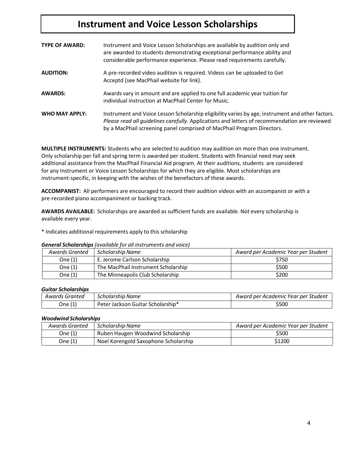### **Instrument and Voice Lesson Scholarships**

| <b>TYPE OF AWARD:</b> | Instrument and Voice Lesson Scholarships are available by audition only and<br>are awarded to students demonstrating exceptional performance ability and<br>considerable performance experience. Please read requirements carefully.                                        |
|-----------------------|-----------------------------------------------------------------------------------------------------------------------------------------------------------------------------------------------------------------------------------------------------------------------------|
| <b>AUDITION:</b>      | A pre-recorded video audition is required. Videos can be uploaded to Get<br>Acceptd (see MacPhail website for link).                                                                                                                                                        |
| <b>AWARDS:</b>        | Awards vary in amount and are applied to one full academic year tuition for<br>individual instruction at MacPhail Center for Music.                                                                                                                                         |
| WHO MAY APPLY:        | Instrument and Voice Lesson Scholarship eligibility varies by age, instrument and other factors.<br>Please read all quidelines carefully. Applications and letters of recommendation are reviewed<br>by a MacPhail screening panel comprised of MacPhail Program Directors. |

**MULTIPLE INSTRUMENTS:** Students who are selected to audition may audition on more than one instrument. Only scholarship per fall and spring term is awarded per student. Students with financial need may seek additional assistance from the MacPhail Financial Aid program. At their auditions, students are considered for any Instrument or Voice Lesson Scholarships for which they are eligible. Most scholarships are instrument-specific, in keeping with the wishes of the benefactors of these awards.

**ACCOMPANIST:** All performers are encouraged to record their audition videos with an accompanist or with a pre-recorded piano accompaniment or backing track.

**AWARDS AVAILABLE:** Scholarships are awarded as sufficient funds are available. Not every scholarship is available every year.

\* Indicates additional requirements apply to this scholarship

#### *General Scholarships (available for all instruments and voice)*

| Awards Granted | Scholarship Name                    | Award per Academic Year per Student |
|----------------|-------------------------------------|-------------------------------------|
| One $(1)$      | E. Jerome Carlson Scholarship       | \$750                               |
| One $(1)$      | The MacPhail Instrument Scholarship | \$500                               |
| One $(1)$      | The Minneapolis Club Scholarship    | \$200                               |

#### *Guitar Scholarships*

| Awards Granted | Scholarship Name                  | Award per Academic Year per Student |
|----------------|-----------------------------------|-------------------------------------|
| One $(1)$      | Peter Jackson Guitar Scholarship* | \$500                               |

#### *Woodwind Scholarships*

| Awards Granted | Scholarship Name                     | Award per Academic Year per Student |
|----------------|--------------------------------------|-------------------------------------|
| One (1)        | Ruben Haugen Woodwind Scholarship    | \$500                               |
| One (1)        | Noel Korengold Saxophone Scholarship | \$1200                              |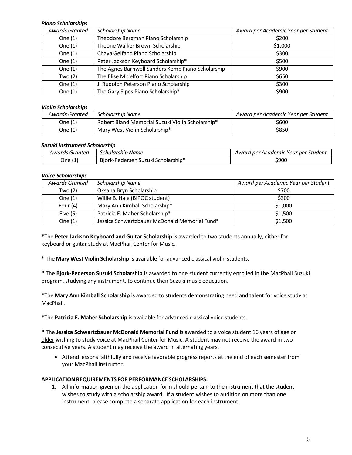#### *Piano Scholarships*

| <b>Awards Granted</b> | <b>Scholarship Name</b>                           | Award per Academic Year per Student |
|-----------------------|---------------------------------------------------|-------------------------------------|
| One $(1)$             | Theodore Bergman Piano Scholarship                | \$200                               |
| One $(1)$             | Theone Walker Brown Scholarship                   | \$1,000                             |
| One $(1)$             | Chaya Gelfand Piano Scholarship                   | \$300                               |
| One $(1)$             | Peter Jackson Keyboard Scholarship*               | \$500                               |
| One $(1)$             | The Agnes Barnwell Sanders Kemp Piano Scholarship | \$900                               |
| Two $(2)$             | The Elise Midelfort Piano Scholarship             | \$650                               |
| One $(1)$             | J. Rudolph Peterson Piano Scholarship             | \$300                               |
| One $(1)$             | The Gary Sipes Piano Scholarship*                 | \$900                               |

#### *Violin Scholarships*

| Awards Granted | Scholarship Name                                 | Award per Academic Year per Student |
|----------------|--------------------------------------------------|-------------------------------------|
| One (1)        | Robert Bland Memorial Suzuki Violin Scholarship* | \$600                               |
| One (1)        | Mary West Violin Scholarship*                    | \$850                               |

#### *Suzuki Instrument Scholarship*

| Awards Granted | Scholarship Name                   | Award per Academic Year per Student |
|----------------|------------------------------------|-------------------------------------|
| .Jne (1)       | Bjork-Pedersen Suzuki Scholarship* | \$900                               |

#### *Voice Scholarships*

| Awards Granted | <b>Scholarship Name</b>                       | Award per Academic Year per Student |
|----------------|-----------------------------------------------|-------------------------------------|
| Two (2)        | Oksana Bryn Scholarship                       | \$700                               |
| One $(1)$      | Willie B. Hale (BIPOC student)                | \$300                               |
| Four $(4)$     | Mary Ann Kimball Scholarship*                 | \$1,000                             |
| Five $(5)$     | Patricia E. Maher Scholarship*                | \$1,500                             |
| One $(1)$      | Jessica Schwartzbauer McDonald Memorial Fund* | \$1,500                             |

**\***The **Peter Jackson Keyboard and Guitar Scholarship** is awarded to two students annually, either for keyboard or guitar study at MacPhail Center for Music.

\* The **Mary West Violin Scholarship** is available for advanced classical violin students.

\* The **Bjork-Pederson Suzuki Scholarship** is awarded to one student currently enrolled in the MacPhail Suzuki program, studying any instrument, to continue their Suzuki music education.

\*The **Mary Ann Kimball Scholarship** is awarded to students demonstrating need and talent for voice study at MacPhail.

\*The **Patricia E. Maher Scholarship** is available for advanced classical voice students.

**\*** The **Jessica Schwartzbauer McDonald Memorial Fund** is awarded to a voice student 16 years of age or older wishing to study voice at MacPhail Center for Music. A student may not receive the award in two consecutive years. A student may receive the award in alternating years.

• Attend lessons faithfully and receive favorable progress reports at the end of each semester from your MacPhail instructor.

#### **APPLICATIONREQUIREMENTS FOR PERFORMANCE SCHOLARSHIPS:**

1. All information given on the application form should pertain to the instrument that the student wishes to study with a scholarship award. If a student wishes to audition on more than one instrument, please complete a separate application for each instrument.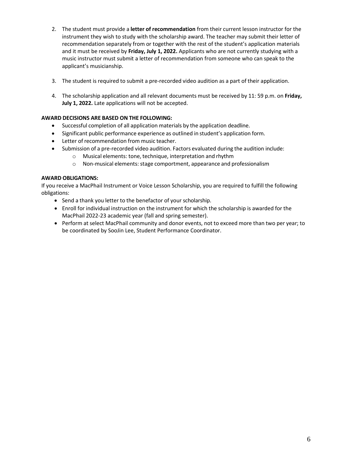- 2. The student must provide a **letter of recommendation** from their current lesson instructor for the instrument they wish to study with the scholarship award. The teacher may submit their letter of recommendation separately from or together with the rest of the student's application materials and it must be received by **Friday, July 1, 2022.** Applicants who are not currently studying with a music instructor must submit a letter of recommendation from someone who can speak to the applicant's musicianship.
- 3. The student is required to submit a pre-recorded video audition as a part of their application.
- 4. The scholarship application and all relevant documents must be received by 11: 59 p.m. on **Friday, July 1, 2022.** Late applications will not be accepted.

#### **AWARD DECISIONS ARE BASED ON THE FOLLOWING:**

- Successful completion of all application materials by the application deadline.
- Significant public performance experience as outlined in student's application form.
- Letter of recommendation from music teacher.
- Submission of a pre-recorded video audition. Factors evaluated during the audition include:
	- o Musical elements: tone, technique, interpretation and rhythm
	- o Non-musical elements: stage comportment, appearance and professionalism

#### **AWARD OBLIGATIONS:**

If you receive a MacPhail Instrument or Voice Lesson Scholarship, you are required to fulfill the following obligations:

- Send a thank you letter to the benefactor of your scholarship.
- Enroll for individual instruction on the instrument for which the scholarship is awarded for the MacPhail 2022-23 academic year (fall and spring semester).
- Perform at select MacPhail community and donor events, not to exceed more than two per year; to be coordinated by SooJin Lee, Student Performance Coordinator.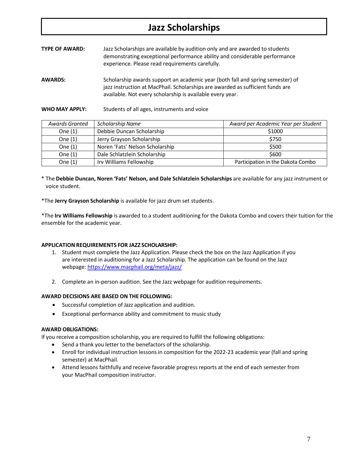## **Jazz Scholarships**

| <b>TYPE OF AWARD:</b> | Jazz Scholarships are available by audition only and are awarded to students<br>demonstrating exceptional performance ability and considerable performance<br>experience. Please read requirements carefully. |
|-----------------------|---------------------------------------------------------------------------------------------------------------------------------------------------------------------------------------------------------------|
| AILIADDO.             | realizationalistic concernation in a constant and constant and and realization of the constant of the state of                                                                                                |

**AWARDS:** Scholarship awards support an academic year (both fall and spring semester) of jazz instruction at MacPhail. Scholarships are awarded as sufficient funds are available. Not every scholarship is available every year.

**WHO MAY APPLY:** Students of all ages, instruments and voice

| <b>Awards Granted</b> | Scholarship Name                | Award per Academic Year per Student |
|-----------------------|---------------------------------|-------------------------------------|
| One $(1)$             | Debbie Duncan Scholarship       | \$1000                              |
| One $(1)$             | Jerry Grayson Scholarship       | \$750                               |
| One $(1)$             | Noren 'Fats' Nelson Scholarship | \$500                               |
| One $(1)$             | Dale Schlatzlein Scholarship    | \$600                               |
| One $(1)$             | Irv Williams Fellowship         | Participation in the Dakota Combo   |

\* The **Debbie Duncan, Noren 'Fats' Nelson, and Dale Schlatzlein Scholarships** are available for any jazz instrument or voice student.

\*The **Jerry Grayson Scholarship** is available for jazz drum set students.

\*The **Irv Williams Fellowship** is awarded to a student auditioning for the Dakota Combo and covers their tuition for the ensemble for the academic year.

#### **APPLICATIONREQUIREMENTS FOR JAZZ SCHOLARSHIP:**

- 1. Student must complete the Jazz Application. Please check the box on the Jazz Application if you are interested in auditioning for a Jazz Scholarship. The application can be found on the Jazz webpage:<https://www.macphail.org/meta/jazz/>
- 2. Complete an in-person audition. See the Jazz webpage for audition requirements.

#### **AWARD DECISIONS ARE BASED ON THE FOLLOWING:**

- Successful completion of Jazz application and audition.
- Exceptional performance ability and commitment to music study

#### **AWARD OBLIGATIONS:**

If you receive a composition scholarship, you are required to fulfill the following obligations:

- Send a thank you letter to the benefactors of the scholarship.
- Enroll for individual instruction lessons in composition for the 2022-23 academic year (fall and spring semester) at MacPhail.
- Attend lessons faithfully and receive favorable progress reports at the end of each semester from your MacPhail composition instructor.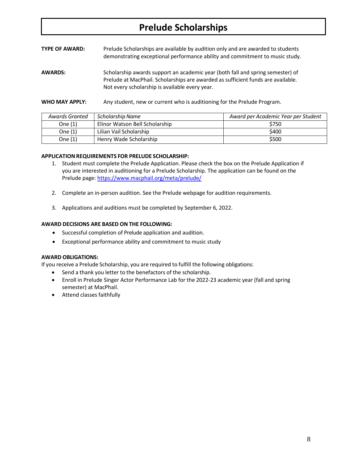# **Prelude Scholarships**

| <b>TYPE OF AWARD:</b> | Prelude Scholarships are available by audition only and are awarded to students<br>demonstrating exceptional performance ability and commitment to music study.    |
|-----------------------|--------------------------------------------------------------------------------------------------------------------------------------------------------------------|
| <b>AWARDS:</b>        | Scholarship awards support an academic year (both fall and spring semester) of<br>Prelude at MacPhail. Scholarships are awarded as sufficient funds are available. |

**WHO MAY APPLY:** Any student, new or current who is auditioning for the Prelude Program.

Not every scholarship is available every year.

| <b>Awards Granted</b> | <b>Scholarship Name</b>        | Award per Academic Year per Student |
|-----------------------|--------------------------------|-------------------------------------|
| One $(1)$             | Elinor Watson Bell Scholarship | \$750                               |
| One $(1)$             | Lilian Vail Scholarship        | \$400                               |
| One (1)               | Henry Wade Scholarship         | \$500                               |

#### **APPLICATIONREQUIREMENTS FOR PRELUDE SCHOLARSHIP:**

- 1. Student must complete the Prelude Application. Please check the box on the Prelude Application if you are interested in auditioning for a Prelude Scholarship. The application can be found on the Prelude page:<https://www.macphail.org/meta/prelude/>
- 2. Complete an in-person audition. See the Prelude webpage for audition requirements.
- 3. Applications and auditions must be completed by September 6, 2022.

#### **AWARD DECISIONS ARE BASED ON THE FOLLOWING:**

- Successful completion of Prelude application and audition.
- Exceptional performance ability and commitment to music study

#### **AWARD OBLIGATIONS:**

If you receive a Prelude Scholarship, you are required to fulfill the following obligations:

- Send a thank you letter to the benefactors of the scholarship.
- Enroll in Prelude Singer Actor Performance Lab for the 2022-23 academic year (fall and spring semester) at MacPhail.
- Attend classes faithfully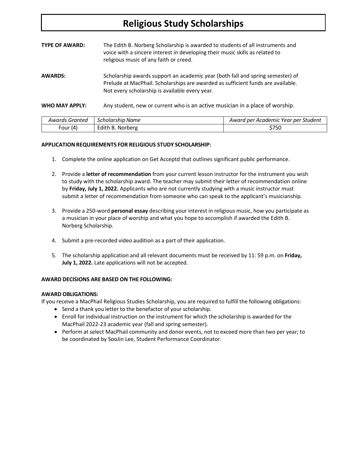# **Religious Study Scholarships**

| <b>TYPE OF AWARD:</b> | The Edith B. Norberg Scholarship is awarded to students of all instruments and<br>voice with a sincere interest in developing their music skills as related to<br>religious music of any faith or creed.             |
|-----------------------|----------------------------------------------------------------------------------------------------------------------------------------------------------------------------------------------------------------------|
| <b>AWARDS:</b>        | Scholarship awards support an academic year (both fall and spring semester) of<br>Prelude at MacPhail. Scholarships are awarded as sufficient funds are available.<br>Not every scholarship is available every year. |

**WHO MAY APPLY:** Any student, new or current who is an active musician in a place of worship.

| Awards Granted | Scholarship Name | Award per Academic Year per Student |
|----------------|------------------|-------------------------------------|
| Four $(4)$     | Edith B. Norberg | \$750                               |

#### **APPLICATIONREQUIREMENTS FOR RELIGIOUS STUDY SCHOLARSHIP:**

- 1. Complete the online application on Get Acceptd that outlines significant public performance.
- 2. Provide a **letter of recommendation** from your current lesson instructor for the instrument you wish to study with the scholarship award. The teacher may submit their letter of recommendation online by **Friday, July 1, 2022.** Applicants who are not currently studying with a music instructor must submit a letter of recommendation from someone who can speak to the applicant's musicianship.
- 3. Provide a 250-word **personal essay** describing your interest in religious music, how you participate as a musician in your place of worship and what you hope to accomplish if awarded the Edith B. Norberg Scholarship.
- 4. Submit a pre-recorded video audition as a part of their application.
- 5. The scholarship application and all relevant documents must be received by 11: 59 p.m. on **Friday, July 1, 2022.** Late applications will not be accepted.

#### **AWARD DECISIONS ARE BASED ON THE FOLLOWING:**

#### **AWARD OBLIGATIONS:**

If you receive a MacPhail Religious Studies Scholarship, you are required to fulfill the following obligations:

- Send a thank you letter to the benefactor of your scholarship.
- Enroll for individual instruction on the instrument for which the scholarship is awarded for the MacPhail 2022-23 academic year (fall and spring semester).
- Perform at select MacPhail community and donor events, not to exceed more than two per year; to be coordinated by SooJin Lee, Student Performance Coordinator.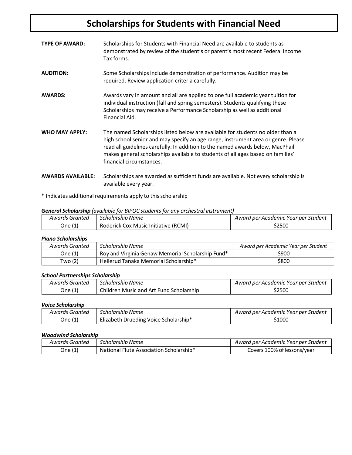# **Scholarships for Students with Financial Need**

| <b>TYPE OF AWARD:</b>    | Scholarships for Students with Financial Need are available to students as<br>demonstrated by review of the student's or parent's most recent Federal Income<br>Tax forms.                                                                                                                                                                                           |
|--------------------------|----------------------------------------------------------------------------------------------------------------------------------------------------------------------------------------------------------------------------------------------------------------------------------------------------------------------------------------------------------------------|
| <b>AUDITION:</b>         | Some Scholarships include demonstration of performance. Audition may be<br>required. Review application criteria carefully.                                                                                                                                                                                                                                          |
| <b>AWARDS:</b>           | Awards vary in amount and all are applied to one full academic year tuition for<br>individual instruction (fall and spring semesters). Students qualifying these<br>Scholarships may receive a Performance Scholarship as well as additional<br>Financial Aid.                                                                                                       |
| <b>WHO MAY APPLY:</b>    | The named Scholarships listed below are available for students no older than a<br>high school senior and may specify an age range, instrument area or genre. Please<br>read all guidelines carefully. In addition to the named awards below, MacPhail<br>makes general scholarships available to students of all ages based on families'<br>financial circumstances. |
| <b>AWARDS AVAILABLE:</b> | Scholarships are awarded as sufficient funds are available. Not every scholarship is                                                                                                                                                                                                                                                                                 |

\* Indicates additional requirements apply to thisscholarship

| <b>General Scholarship</b> (available for BIPOC students for any orchestral instrument) |  |  |  |  |
|-----------------------------------------------------------------------------------------|--|--|--|--|
|-----------------------------------------------------------------------------------------|--|--|--|--|

available every year.

| Awards Granted | Scholarship Name                     | Award per Academic Year per Student |
|----------------|--------------------------------------|-------------------------------------|
| One $(1)$      | Roderick Cox Music Initiative (RCMI) | \$2500                              |

#### *Piano Scholarships*

| Awards Granted | Scholarship Name                                  | Award per Academic Year per Student |
|----------------|---------------------------------------------------|-------------------------------------|
| One (1)        | Roy and Virginia Genaw Memorial Scholarship Fund* | \$900                               |
| Two $(2)$      | Hellerud Tanaka Memorial Scholarship*             | \$800                               |

#### *School Partnerships Scholarship*

| Awards Granted | Scholarship Name                        | Award per Academic Year per Student |
|----------------|-----------------------------------------|-------------------------------------|
| One (1)        | Children Music and Art Fund Scholarship | \$2500                              |

#### *Voice Scholarship*

| Scholarship Name<br>Awards Granted |                                       | Award per Academic Year per Student |  |
|------------------------------------|---------------------------------------|-------------------------------------|--|
| One (1)                            | Elizabeth Drueding Voice Scholarship* | \$1000                              |  |

#### *Woodwind Scholarship*

| Awards Granted | Scholarship Name                        | Award per Academic Year per Student |
|----------------|-----------------------------------------|-------------------------------------|
| One (1)        | National Flute Association Scholarship* | Covers 100% of lessons/year         |